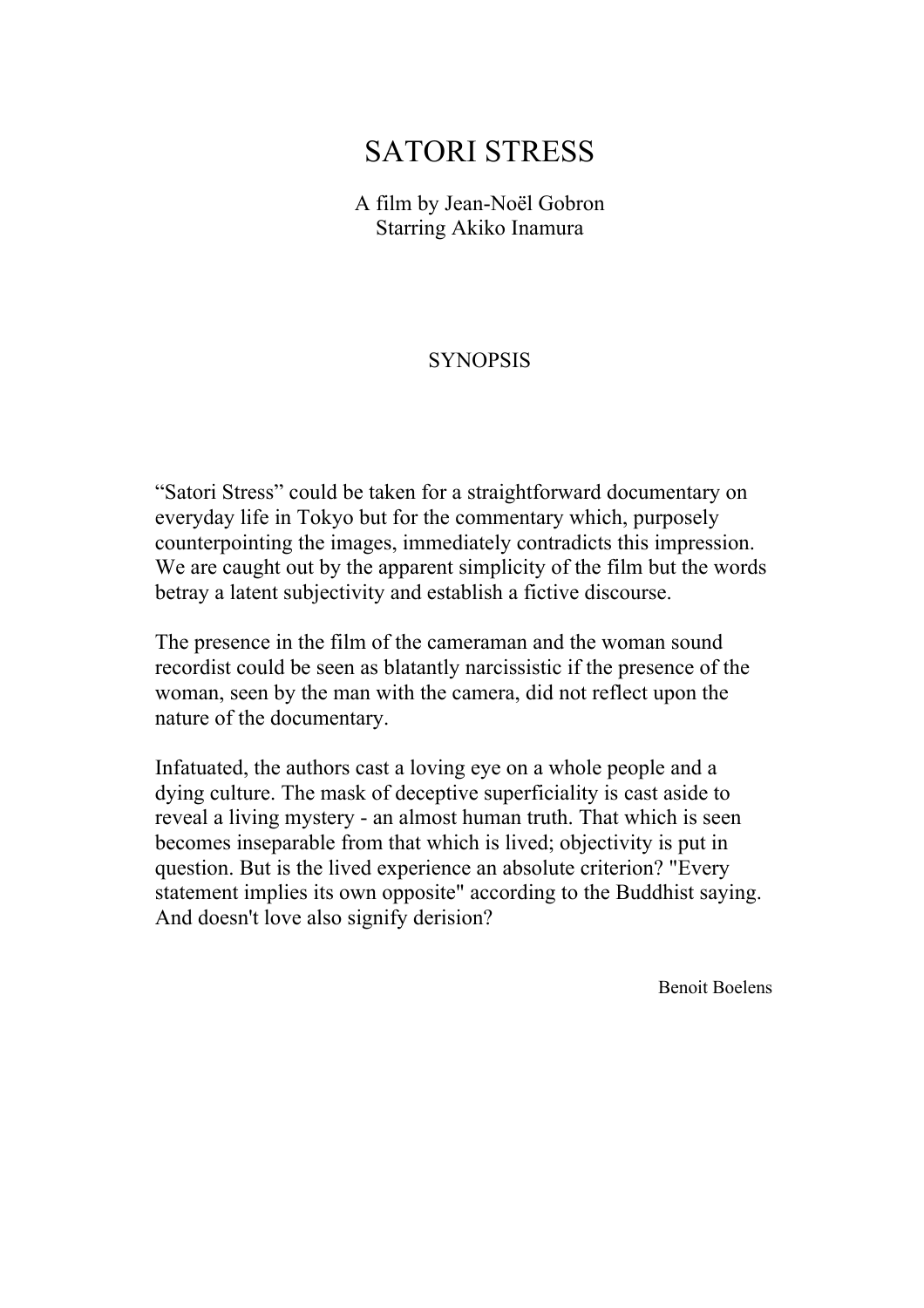A film by Jean-Noël Gobron Starring Akiko Inamura

### **SYNOPSIS**

"Satori Stress" could be taken for a straightforward documentary on everyday life in Tokyo but for the commentary which, purposely counterpointing the images, immediately contradicts this impression. We are caught out by the apparent simplicity of the film but the words betray a latent subjectivity and establish a fictive discourse.

The presence in the film of the cameraman and the woman sound recordist could be seen as blatantly narcissistic if the presence of the woman, seen by the man with the camera, did not reflect upon the nature of the documentary.

Infatuated, the authors cast a loving eye on a whole people and a dying culture. The mask of deceptive superficiality is cast aside to reveal a living mystery - an almost human truth. That which is seen becomes inseparable from that which is lived; objectivity is put in question. But is the lived experience an absolute criterion? "Every statement implies its own opposite" according to the Buddhist saying. And doesn't love also signify derision?

Benoit Boelens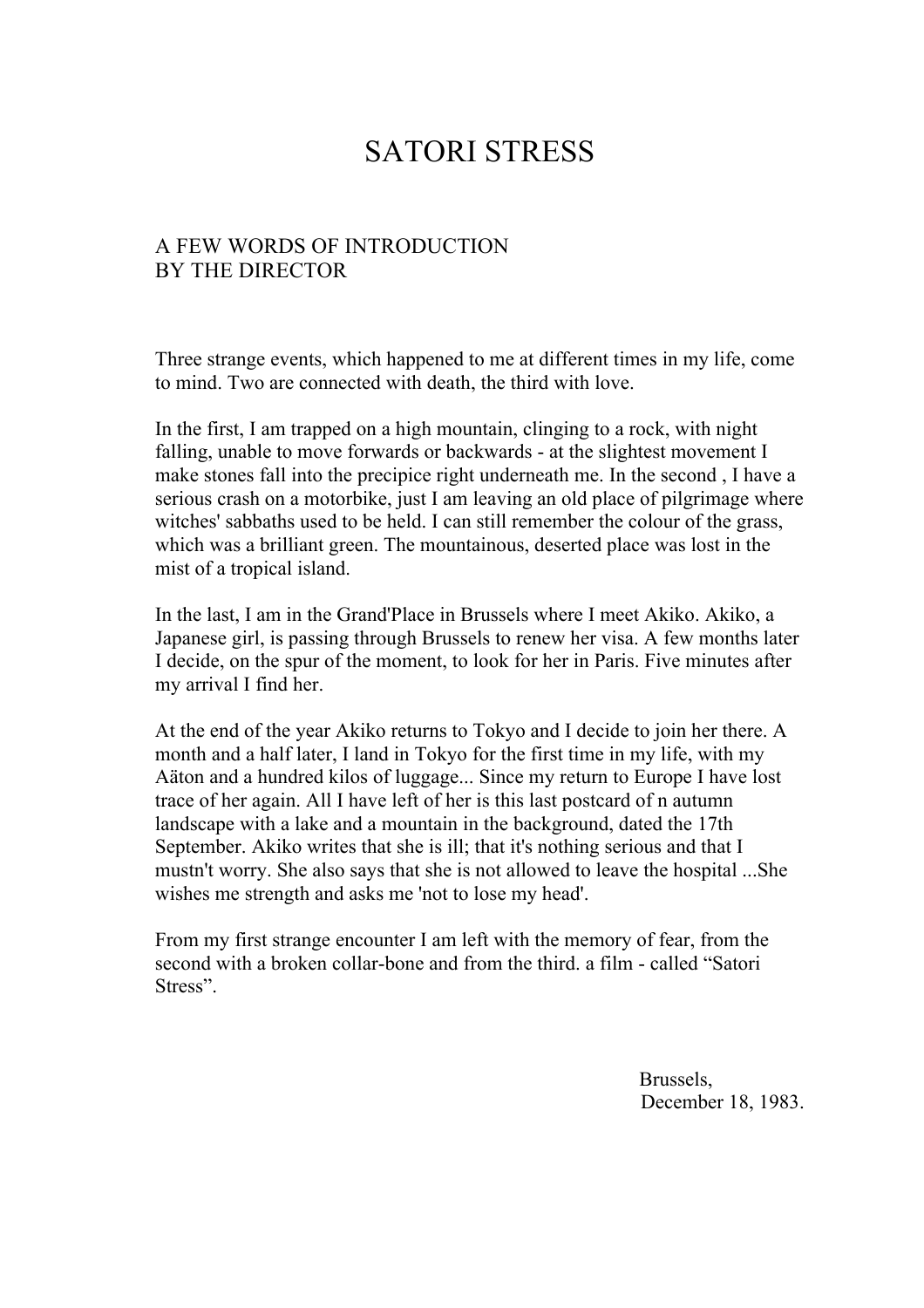#### A FEW WORDS OF INTRODUCTION BY THE DIRECTOR

Three strange events, which happened to me at different times in my life, come to mind. Two are connected with death, the third with love.

In the first, I am trapped on a high mountain, clinging to a rock, with night falling, unable to move forwards or backwards - at the slightest movement I make stones fall into the precipice right underneath me. In the second , I have a serious crash on a motorbike, just I am leaving an old place of pilgrimage where witches' sabbaths used to be held. I can still remember the colour of the grass, which was a brilliant green. The mountainous, deserted place was lost in the mist of a tropical island.

In the last, I am in the Grand'Place in Brussels where I meet Akiko. Akiko, a Japanese girl, is passing through Brussels to renew her visa. A few months later I decide, on the spur of the moment, to look for her in Paris. Five minutes after my arrival I find her.

At the end of the year Akiko returns to Tokyo and I decide to join her there. A month and a half later, I land in Tokyo for the first time in my life, with my Aäton and a hundred kilos of luggage... Since my return to Europe I have lost trace of her again. All I have left of her is this last postcard of n autumn landscape with a lake and a mountain in the background, dated the 17th September. Akiko writes that she is ill; that it's nothing serious and that I mustn't worry. She also says that she is not allowed to leave the hospital ...She wishes me strength and asks me 'not to lose my head'.

From my first strange encounter I am left with the memory of fear, from the second with a broken collar-bone and from the third. a film - called "Satori Stress".

> Brussels, December 18, 1983.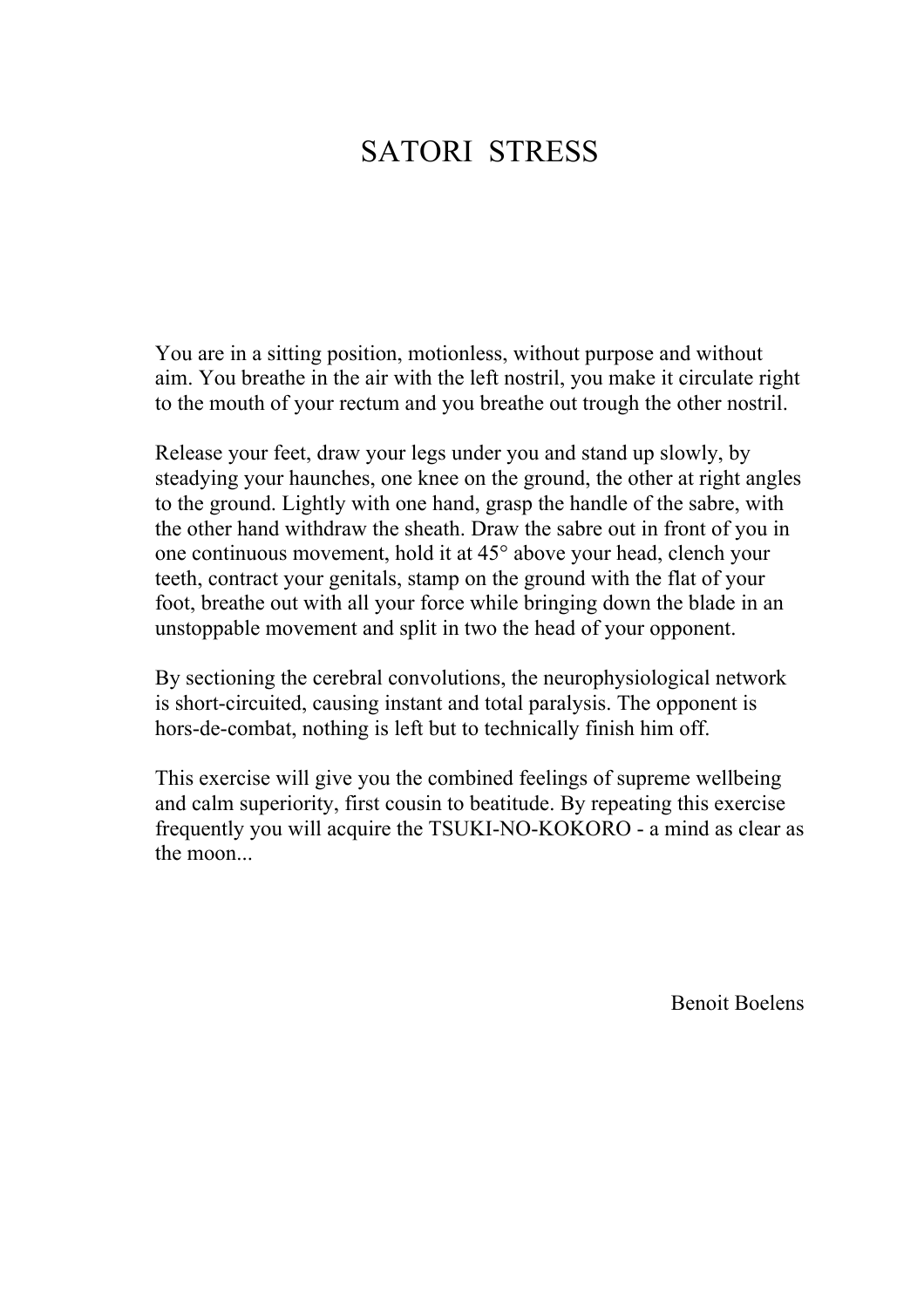You are in a sitting position, motionless, without purpose and without aim. You breathe in the air with the left nostril, you make it circulate right to the mouth of your rectum and you breathe out trough the other nostril.

Release your feet, draw your legs under you and stand up slowly, by steadying your haunches, one knee on the ground, the other at right angles to the ground. Lightly with one hand, grasp the handle of the sabre, with the other hand withdraw the sheath. Draw the sabre out in front of you in one continuous movement, hold it at 45° above your head, clench your teeth, contract your genitals, stamp on the ground with the flat of your foot, breathe out with all your force while bringing down the blade in an unstoppable movement and split in two the head of your opponent.

By sectioning the cerebral convolutions, the neurophysiological network is short-circuited, causing instant and total paralysis. The opponent is hors-de-combat, nothing is left but to technically finish him off.

This exercise will give you the combined feelings of supreme wellbeing and calm superiority, first cousin to beatitude. By repeating this exercise frequently you will acquire the TSUKI-NO-KOKORO - a mind as clear as the moon...

Benoit Boelens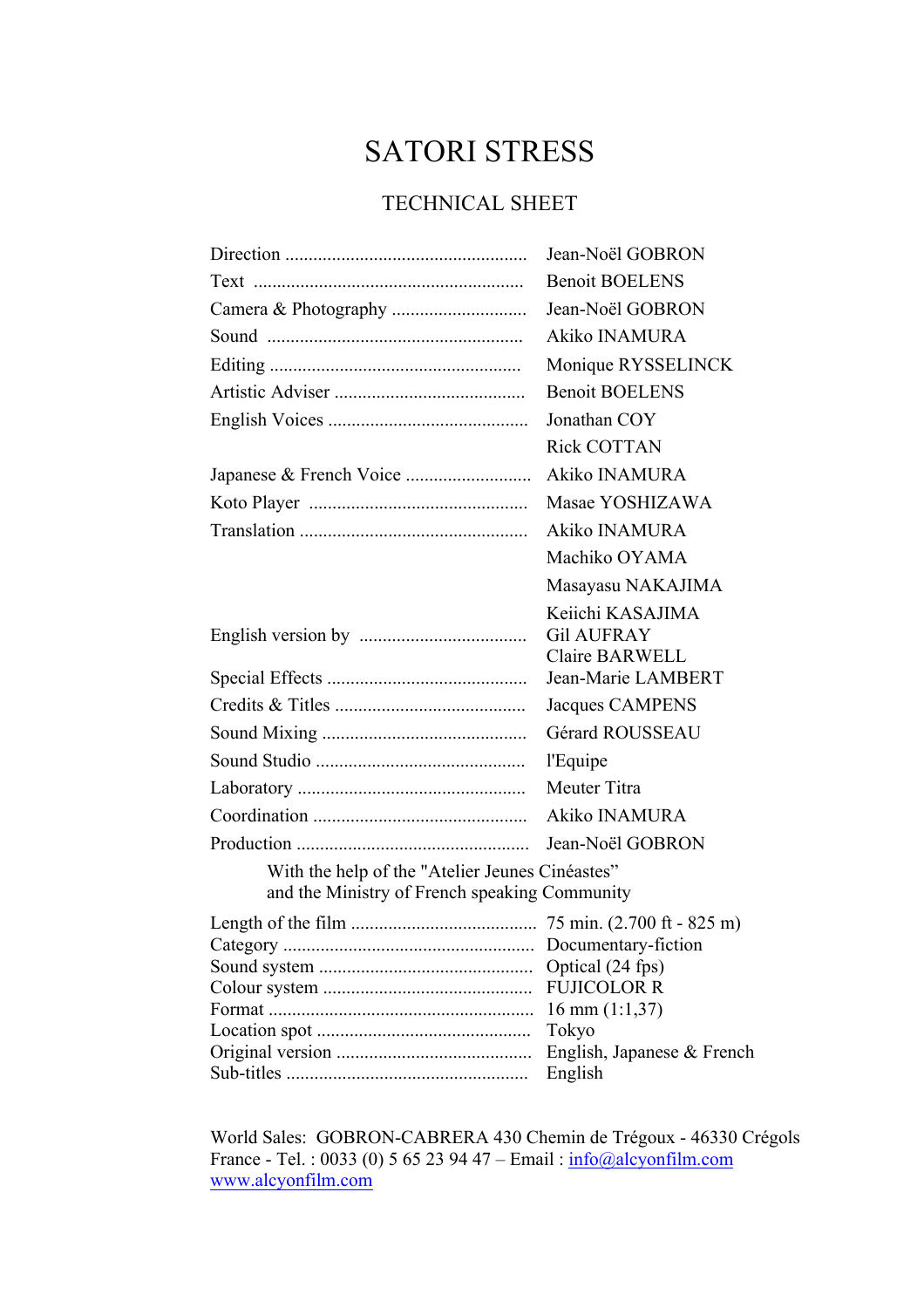### TECHNICAL SHEET

|                                                                                                  | Jean-Noël GOBRON                                               |
|--------------------------------------------------------------------------------------------------|----------------------------------------------------------------|
|                                                                                                  | <b>Benoit BOELENS</b>                                          |
|                                                                                                  | Jean-Noël GOBRON                                               |
|                                                                                                  | <b>Akiko INAMURA</b>                                           |
|                                                                                                  | Monique RYSSELINCK                                             |
|                                                                                                  | <b>Benoit BOELENS</b>                                          |
|                                                                                                  | Jonathan COY                                                   |
|                                                                                                  | <b>Rick COTTAN</b>                                             |
|                                                                                                  | <b>Akiko INAMURA</b>                                           |
|                                                                                                  | Masae YOSHIZAWA                                                |
|                                                                                                  | <b>Akiko INAMURA</b>                                           |
|                                                                                                  | Machiko OYAMA                                                  |
|                                                                                                  | Masayasu NAKAJIMA                                              |
|                                                                                                  | Keiichi KASAJIMA<br><b>Gil AUFRAY</b><br><b>Claire BARWELL</b> |
|                                                                                                  | Jean-Marie LAMBERT                                             |
|                                                                                                  | <b>Jacques CAMPENS</b>                                         |
|                                                                                                  | Gérard ROUSSEAU                                                |
|                                                                                                  | l'Equipe                                                       |
|                                                                                                  | Meuter Titra                                                   |
|                                                                                                  | <b>Akiko INAMURA</b>                                           |
|                                                                                                  | Jean-Noël GOBRON                                               |
| With the help of the "Atelier Jeunes Cinéastes"<br>and the Ministry of French speaking Community |                                                                |
|                                                                                                  |                                                                |
|                                                                                                  |                                                                |
|                                                                                                  | Optical (24 fps)                                               |
|                                                                                                  | <b>FUJICOLOR R</b>                                             |
|                                                                                                  | $16 \text{ mm } (1:1,37)$                                      |
|                                                                                                  | Tokyo                                                          |
|                                                                                                  | English, Japanese & French                                     |
|                                                                                                  | English                                                        |

World Sales: GOBRON-CABRERA 430 Chemin de Trégoux - 46330 Crégols France - Tel. : 0033 (0) 5 65 23 94 47 – Email : *info@alcyonfilm.com* www.alcyonfilm.com